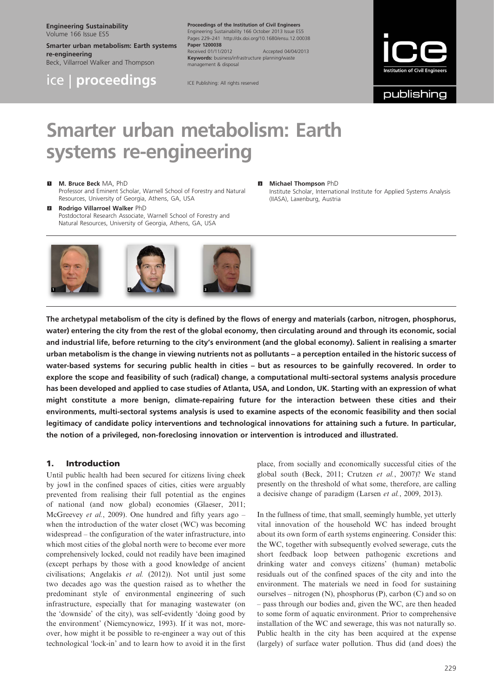#### Engineering Sustainability Volume 166 Issue ES5

Smarter urban metabolism: Earth systems re-engineering

Beck, Villarroel Walker and Thompson

ice | proceedings **ICE Publishing: All rights reserved** 

Proceedings of the Institution of Civil Engineers Engineering Sustainability 166 October 2013 Issue ES5 Pages 229–241 http://dx.doi.org/10.1680/ensu.12.00038 **Paper 1200038**<br>Received 01/11/2012 Accepted 04/04/2013 Keywords: business/infrastructure planning/waste management & disposal

**Institution of Civil Eng** publishing

# Smarter urban metabolism: Earth systems re-engineering

#### $\blacksquare$  M. Bruce Beck MA, PhD

Professor and Eminent Scholar, Warnell School of Forestry and Natural Resources, University of Georgia, Athens, GA, USA

#### **El** Rodrigo Villarroel Walker PhD Postdoctoral Research Associate, Warnell School of Forestry and Natural Resources, University of Georgia, Athens, GA, USA



Michael Thompson PhD Institute Scholar, International Institute for Applied Systems Analysis (IIASA), Laxenburg, Austria

The archetypal metabolism of the city is defined by the flows of energy and materials (carbon, nitrogen, phosphorus, water) entering the city from the rest of the global economy, then circulating around and through its economic, social and industrial life, before returning to the city's environment (and the global economy). Salient in realising a smarter urban metabolism is the change in viewing nutrients not as pollutants – a perception entailed in the historic success of water-based systems for securing public health in cities – but as resources to be gainfully recovered. In order to explore the scope and feasibility of such (radical) change, a computational multi-sectoral systems analysis procedure has been developed and applied to case studies of Atlanta, USA, and London, UK. Starting with an expression of what might constitute a more benign, climate-repairing future for the interaction between these cities and their environments, multi-sectoral systems analysis is used to examine aspects of the economic feasibility and then social legitimacy of candidate policy interventions and technological innovations for attaining such a future. In particular, the notion of a privileged, non-foreclosing innovation or intervention is introduced and illustrated.

## 1. Introduction

Until public health had been secured for citizens living cheek by jowl in the confined spaces of cities, cities were arguably prevented from realising their full potential as the engines of national (and now global) economies (Glaeser, 2011; McGreevey *et al.*, 2009). One hundred and fifty years ago – when the introduction of the water closet (WC) was becoming widespread – the configuration of the water infrastructure, into which most cities of the global north were to become ever more comprehensively locked, could not readily have been imagined (except perhaps by those with a good knowledge of ancient civilisations; Angelakis et al. (2012)). Not until just some two decades ago was the question raised as to whether the predominant style of environmental engineering of such infrastructure, especially that for managing wastewater (on the 'downside' of the city), was self-evidently 'doing good by the environment' (Niemcynowicz, 1993). If it was not, moreover, how might it be possible to re-engineer a way out of this technological 'lock-in' and to learn how to avoid it in the first

place, from socially and economically successful cities of the global south (Beck, 2011; Crutzen et al., 2007)? We stand presently on the threshold of what some, therefore, are calling a decisive change of paradigm (Larsen et al., 2009, 2013).

In the fullness of time, that small, seemingly humble, yet utterly vital innovation of the household WC has indeed brought about its own form of earth systems engineering. Consider this: the WC, together with subsequently evolved sewerage, cuts the short feedback loop between pathogenic excretions and drinking water and conveys citizens' (human) metabolic residuals out of the confined spaces of the city and into the environment. The materials we need in food for sustaining ourselves – nitrogen (N), phosphorus (P), carbon (C) and so on – pass through our bodies and, given the WC, are then headed to some form of aquatic environment. Prior to comprehensive installation of the WC and sewerage, this was not naturally so. Public health in the city has been acquired at the expense (largely) of surface water pollution. Thus did (and does) the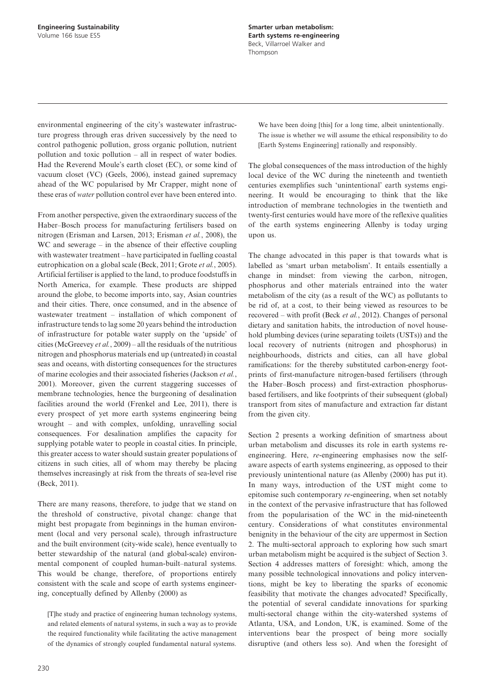environmental engineering of the city's wastewater infrastructure progress through eras driven successively by the need to control pathogenic pollution, gross organic pollution, nutrient pollution and toxic pollution – all in respect of water bodies. Had the Reverend Moule's earth closet (EC), or some kind of vacuum closet (VC) (Geels, 2006), instead gained supremacy ahead of the WC popularised by Mr Crapper, might none of these eras of water pollution control ever have been entered into.

From another perspective, given the extraordinary success of the Haber–Bosch process for manufacturing fertilisers based on nitrogen (Erisman and Larsen, 2013; Erisman et al., 2008), the WC and sewerage – in the absence of their effective coupling with wastewater treatment – have participated in fuelling coastal eutrophication on a global scale (Beck, 2011; Grote et al., 2005). Artificial fertiliser is applied to the land, to produce foodstuffs in North America, for example. These products are shipped around the globe, to become imports into, say, Asian countries and their cities. There, once consumed, and in the absence of wastewater treatment – installation of which component of infrastructure tends to lag some 20 years behind the introduction of infrastructure for potable water supply on the 'upside' of cities (McGreevey et al., 2009) – all the residuals of the nutritious nitrogen and phosphorus materials end up (untreated) in coastal seas and oceans, with distorting consequences for the structures of marine ecologies and their associated fisheries (Jackson et al., 2001). Moreover, given the current staggering successes of membrane technologies, hence the burgeoning of desalination facilities around the world (Frenkel and Lee, 2011), there is every prospect of yet more earth systems engineering being wrought – and with complex, unfolding, unravelling social consequences. For desalination amplifies the capacity for supplying potable water to people in coastal cities. In principle, this greater access to water should sustain greater populations of citizens in such cities, all of whom may thereby be placing themselves increasingly at risk from the threats of sea-level rise (Beck, 2011).

There are many reasons, therefore, to judge that we stand on the threshold of constructive, pivotal change: change that might best propagate from beginnings in the human environment (local and very personal scale), through infrastructure and the built environment (city-wide scale), hence eventually to better stewardship of the natural (and global-scale) environmental component of coupled human-built–natural systems. This would be change, therefore, of proportions entirely consistent with the scale and scope of earth systems engineering, conceptually defined by Allenby (2000) as

[T]he study and practice of engineering human technology systems, and related elements of natural systems, in such a way as to provide the required functionality while facilitating the active management of the dynamics of strongly coupled fundamental natural systems.

We have been doing [this] for a long time, albeit unintentionally. The issue is whether we will assume the ethical responsibility to do [Earth Systems Engineering] rationally and responsibly.

The global consequences of the mass introduction of the highly local device of the WC during the nineteenth and twentieth centuries exemplifies such 'unintentional' earth systems engineering. It would be encouraging to think that the like introduction of membrane technologies in the twentieth and twenty-first centuries would have more of the reflexive qualities of the earth systems engineering Allenby is today urging upon us.

The change advocated in this paper is that towards what is labelled as 'smart urban metabolism'. It entails essentially a change in mindset: from viewing the carbon, nitrogen, phosphorus and other materials entrained into the water metabolism of the city (as a result of the WC) as pollutants to be rid of, at a cost, to their being viewed as resources to be recovered – with profit (Beck et al., 2012). Changes of personal dietary and sanitation habits, the introduction of novel household plumbing devices (urine separating toilets (USTs)) and the local recovery of nutrients (nitrogen and phosphorus) in neighbourhoods, districts and cities, can all have global ramifications: for the thereby substituted carbon-energy footprints of first-manufacture nitrogen-based fertilisers (through the Haber–Bosch process) and first-extraction phosphorusbased fertilisers, and like footprints of their subsequent (global) transport from sites of manufacture and extraction far distant from the given city.

Section 2 presents a working definition of smartness about urban metabolism and discusses its role in earth systems reengineering. Here, re-engineering emphasises now the selfaware aspects of earth systems engineering, as opposed to their previously unintentional nature (as Allenby (2000) has put it). In many ways, introduction of the UST might come to epitomise such contemporary re-engineering, when set notably in the context of the pervasive infrastructure that has followed from the popularisation of the WC in the mid-nineteenth century. Considerations of what constitutes environmental benignity in the behaviour of the city are uppermost in Section 2. The multi-sectoral approach to exploring how such smart urban metabolism might be acquired is the subject of Section 3. Section 4 addresses matters of foresight: which, among the many possible technological innovations and policy interventions, might be key to liberating the sparks of economic feasibility that motivate the changes advocated? Specifically, the potential of several candidate innovations for sparking multi-sectoral change within the city-watershed systems of Atlanta, USA, and London, UK, is examined. Some of the interventions bear the prospect of being more socially disruptive (and others less so). And when the foresight of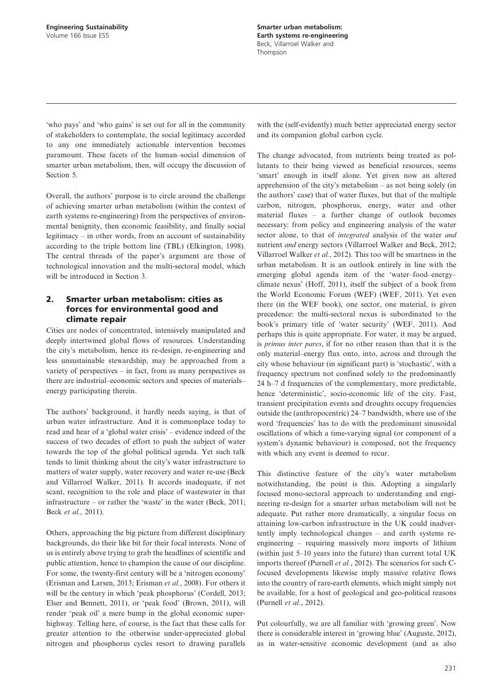'who pays' and 'who gains' is set out for all in the community of stakeholders to contemplate, the social legitimacy accorded to any one immediately actionable intervention becomes paramount. These facets of the human–social dimension of smarter urban metabolism, then, will occupy the discussion of Section 5.

Overall, the authors' purpose is to circle around the challenge of achieving smarter urban metabolism (within the context of earth systems re-engineering) from the perspectives of environmental benignity, then economic feasibility, and finally social legitimacy – in other words, from an account of sustainability according to the triple bottom line (TBL) (Elkington, 1998). The central threads of the paper's argument are those of technological innovation and the multi-sectoral model, which will be introduced in Section 3.

## 2. Smarter urban metabolism: cities as forces for environmental good and climate repair

Cities are nodes of concentrated, intensively manipulated and deeply intertwined global flows of resources. Understanding the city's metabolism, hence its re-design, re-engineering and less unsustainable stewardship, may be approached from a variety of perspectives – in fact, from as many perspectives as there are industrial–economic sectors and species of materials– energy participating therein.

The authors' background, it hardly needs saying, is that of urban water infrastructure. And it is commonplace today to read and hear of a 'global water crisis' – evidence indeed of the success of two decades of effort to push the subject of water towards the top of the global political agenda. Yet such talk tends to limit thinking about the city's water infrastructure to matters of water supply, water recovery and water re-use (Beck and Villarroel Walker, 2011). It accords inadequate, if not scant, recognition to the role and place of wastewater in that infrastructure – or rather the 'waste' in the water (Beck, 2011; Beck et al., 2011).

Others, approaching the big picture from different disciplinary backgrounds, do their like bit for their focal interests. None of us is entirely above trying to grab the headlines of scientific and public attention, hence to champion the cause of our discipline. For some, the twenty-first century will be a 'nitrogen economy' (Erisman and Larsen, 2013; Erisman et al., 2008). For others it will be the century in which 'peak phosphorus' (Cordell, 2013; Elser and Bennett, 2011), or 'peak food' (Brown, 2011), will render 'peak oil' a mere bump in the global economic superhighway. Telling here, of course, is the fact that these calls for greater attention to the otherwise under-appreciated global nitrogen and phosphorus cycles resort to drawing parallels with the (self-evidently) much better appreciated energy sector and its companion global carbon cycle.

The change advocated, from nutrients being treated as pollutants to their being viewed as beneficial resources, seems 'smart' enough in itself alone. Yet given now an altered apprehension of the city's metabolism – as not being solely (in the authors' case) that of water fluxes, but that of the multiple carbon, nitrogen, phosphorus, energy, water and other material fluxes – a further change of outlook becomes necessary: from policy and engineering analysis of the water sector alone, to that of *integrated* analysis of the water *and* nutrient and energy sectors (Villarroel Walker and Beck, 2012; Villarroel Walker et al., 2012). This too will be smartness in the urban metabolism. It is an outlook entirely in line with the emerging global agenda item of the 'water–food–energy– climate nexus' (Hoff, 2011), itself the subject of a book from the World Economic Forum (WEF) (WEF, 2011). Yet even there (in the WEF book), one sector, one material, is given precedence: the multi-sectoral nexus is subordinated to the book's primary title of 'water security' (WEF, 2011). And perhaps this is quite appropriate. For water, it may be argued, is primus inter pares, if for no other reason than that it is the only material–energy flux onto, into, across and through the city whose behaviour (in significant part) is 'stochastic', with a frequency spectrum not confined solely to the predominantly 24 h–7 d frequencies of the complementary, more predictable, hence 'deterministic', socio-economic life of the city. Fast, transient precipitation events and droughts occupy frequencies outside the (anthropocentric) 24–7 bandwidth, where use of the word 'frequencies' has to do with the predominant sinusoidal oscillations of which a time-varying signal (or component of a system's dynamic behaviour) is composed, not the frequency with which any event is deemed to recur.

This distinctive feature of the city's water metabolism notwithstanding, the point is this. Adopting a singularly focused mono-sectoral approach to understanding and engineering re-design for a smarter urban metabolism will not be adequate. Put rather more dramatically, a singular focus on attaining low-carbon infrastructure in the UK could inadvertently imply technological changes – and earth systems reengineering – requiring massively more imports of lithium (within just 5–10 years into the future) than current total UK imports thereof (Purnell et al., 2012). The scenarios for such Cfocused developments likewise imply massive relative flows into the country of rare-earth elements, which might simply not be available, for a host of geological and geo-political reasons (Purnell et al., 2012).

Put colourfully, we are all familiar with 'growing green'. Now there is considerable interest in 'growing blue' (Auguste, 2012), as in water-sensitive economic development (and as also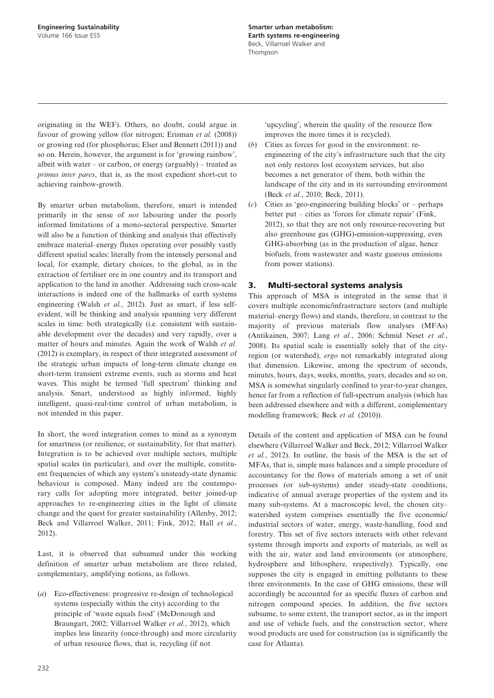originating in the WEF). Others, no doubt, could argue in favour of growing yellow (for nitrogen; Erisman et al. (2008)) or growing red (for phosphorus; Elser and Bennett (2011)) and so on. Herein, however, the argument is for 'growing rainbow', albeit with water – or carbon, or energy (arguably) – treated as primus inter pares, that is, as the most expedient short-cut to achieving rainbow-growth.

By smarter urban metabolism, therefore, smart is intended primarily in the sense of not labouring under the poorly informed limitations of a mono-sectoral perspective. Smarter will also be a function of thinking and analysis that effectively embrace material–energy fluxes operating over possibly vastly different spatial scales: literally from the intensely personal and local, for example, dietary choices, to the global, as in the extraction of fertiliser ore in one country and its transport and application to the land in another. Addressing such cross-scale interactions is indeed one of the hallmarks of earth systems engineering (Walsh et al., 2012). Just as smart, if less selfevident, will be thinking and analysis spanning very different scales in time: both strategically (i.e. consistent with sustainable development over the decades) and very rapidly, over a matter of hours and minutes. Again the work of Walsh et al. (2012) is exemplary, in respect of their integrated assessment of the strategic urban impacts of long-term climate change on short-term transient extreme events, such as storms and heat waves. This might be termed 'full spectrum' thinking and analysis. Smart, understood as highly informed, highly intelligent, quasi-real-time control of urban metabolism, is not intended in this paper.

In short, the word integration comes to mind as a synonym for smartness (or resilience, or sustainability, for that matter). Integration is to be achieved over multiple sectors, multiple spatial scales (in particular), and over the multiple, constituent frequencies of which any system's unsteady-state dynamic behaviour is composed. Many indeed are the contemporary calls for adopting more integrated, better joined-up approaches to re-engineering cities in the light of climate change and the quest for greater sustainability (Allenby, 2012; Beck and Villarroel Walker, 2011; Fink, 2012; Hall et al., 2012).

Last, it is observed that subsumed under this working definition of smarter urban metabolism are three related, complementary, amplifying notions, as follows.

(a) Eco-effectiveness: progressive re-design of technological systems (especially within the city) according to the principle of 'waste equals food' (McDonough and Braungart, 2002; Villarroel Walker et al., 2012), which implies less linearity (once-through) and more circularity of urban resource flows, that is, recycling (if not

'upcycling', wherein the quality of the resource flow improves the more times it is recycled).

- (b) Cities as forces for good in the environment: reengineering of the city's infrastructure such that the city not only restores lost ecosystem services, but also becomes a net generator of them, both within the landscape of the city and in its surrounding environment (Beck et al., 2010; Beck, 2011).
- (c) Cities as 'geo-engineering building blocks' or perhaps better put – cities as 'forces for climate repair' (Fink, 2012), so that they are not only resource-recovering but also greenhouse gas (GHG)-emission-suppressing, even GHG-absorbing (as in the production of algae, hence biofuels, from wastewater and waste gaseous emissions from power stations).

# 3. Multi-sectoral systems analysis

This approach of MSA is integrated in the sense that it covers multiple economic/infrastructure sectors (and multiple material–energy flows) and stands, therefore, in contrast to the majority of previous materials flow analyses (MFAs) (Antikainen, 2007; Lang et al., 2006; Schmid Neset et al., 2008). Its spatial scale is essentially solely that of the cityregion (or watershed), ergo not remarkably integrated along that dimension. Likewise, among the spectrum of seconds, minutes, hours, days, weeks, months, years, decades and so on, MSA is somewhat singularly confined to year-to-year changes, hence far from a reflection of full-spectrum analysis (which has been addressed elsewhere and with a different, complementary modelling framework; Beck et al. (2010)).

Details of the content and application of MSA can be found elsewhere (Villarroel Walker and Beck, 2012; Villarroel Walker et al., 2012). In outline, the basis of the MSA is the set of MFAs, that is, simple mass balances and a simple procedure of accountancy for the flows of materials among a set of unit processes (or sub-systems) under steady-state conditions, indicative of annual average properties of the system and its many sub-systems. At a macroscopic level, the chosen city– watershed system comprises essentially the five economic/ industrial sectors of water, energy, waste-handling, food and forestry. This set of five sectors interacts with other relevant systems through imports and exports of materials, as well as with the air, water and land environments (or atmosphere, hydrosphere and lithosphere, respectively). Typically, one supposes the city is engaged in emitting pollutants to these three environments. In the case of GHG emissions, these will accordingly be accounted for as specific fluxes of carbon and nitrogen compound species. In addition, the five sectors subsume, to some extent, the transport sector, as in the import and use of vehicle fuels, and the construction sector, where wood products are used for construction (as is significantly the case for Atlanta).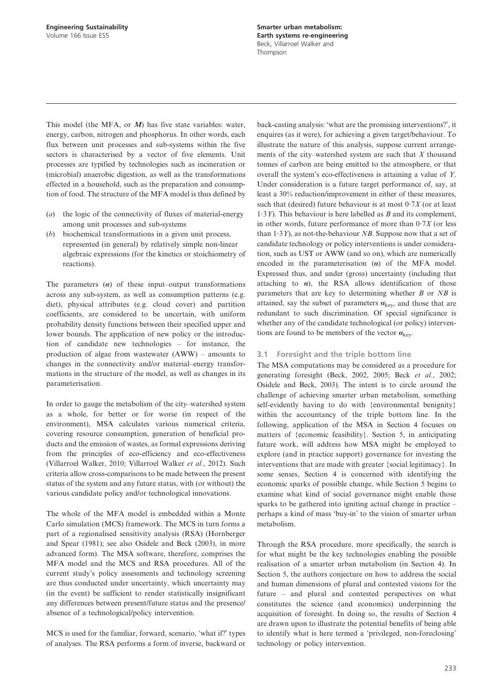This model (the MFA, or  $M$ ) has five state variables: water, energy, carbon, nitrogen and phosphorus. In other words, each flux between unit processes and sub-systems within the five sectors is characterised by a vector of five elements. Unit processes are typified by technologies such as incineration or (microbial) anaerobic digestion, as well as the transformations effected in a household, such as the preparation and consumption of food. The structure of the MFA model is thus defined by

- (a) the logic of the connectivity of fluxes of material-energy among unit processes and sub-systems
- (b) biochemical transformations in a given unit process, represented (in general) by relatively simple non-linear algebraic expressions (for the kinetics or stoichiometry of reactions).

The parameters  $(\alpha)$  of these input–output transformations across any sub-system, as well as consumption patterns (e.g. diet), physical attributes (e.g. cloud cover) and partition coefficients, are considered to be uncertain, with uniform probability density functions between their specified upper and lower bounds. The application of new policy or the introduction of candidate new technologies – for instance, the production of algae from wastewater (AWW) – amounts to changes in the connectivity and/or material–energy transformations in the structure of the model, as well as changes in its parameterisation.

In order to gauge the metabolism of the city–watershed system as a whole, for better or for worse (in respect of the environment), MSA calculates various numerical criteria, covering resource consumption, generation of beneficial products and the emission of wastes, as formal expressions deriving from the principles of eco-efficiency and eco-effectiveness (Villarroel Walker, 2010; Villarroel Walker et al., 2012). Such criteria allow cross-comparisons to be made between the present status of the system and any future status, with (or without) the various candidate policy and/or technological innovations.

The whole of the MFA model is embedded within a Monte Carlo simulation (MCS) framework. The MCS in turn forms a part of a regionalised sensitivity analysis (RSA) (Hornberger and Spear (1981); see also Osidele and Beck (2003), in more advanced form). The MSA software, therefore, comprises the MFA model and the MCS and RSA procedures. All of the current study's policy assessments and technology screening are thus conducted under uncertainty, which uncertainty may (in the event) be sufficient to render statistically insignificant any differences between present/future status and the presence/ absence of a technological/policy intervention.

MCS is used for the familiar, forward, scenario, 'what if?' types of analyses. The RSA performs a form of inverse, backward or

back-casting analysis: 'what are the promising interventions?', it enquires (as it were), for achieving a given target/behaviour. To illustrate the nature of this analysis, suppose current arrangements of the city–watershed system are such that  $X$  thousand tonnes of carbon are being emitted to the atmosphere, or that overall the system's eco-effectiveness is attaining a value of Y. Under consideration is a future target performance of, say, at least a 30% reduction/improvement in either of these measures, such that (desired) future behaviour is at most  $0.7X$  (or at least 1.3Y). This behaviour is here labelled as  $B$  and its complement, in other words, future performance of more than  $0.7X$  (or less than  $1.3 Y$ ), as not-the-behaviour NB. Suppose now that a set of candidate technology or policy interventions is under consideration, such as UST or AWW (and so on), which are numerically encoded in the parameterisation  $(\alpha)$  of the MFA model. Expressed thus, and under (gross) uncertainty (including that attaching to  $\alpha$ ), the RSA allows identification of those parameters that are key to determining whether  $B$  or  $NB$  is attained, say the subset of parameters  $\alpha_{\text{key}}$ , and those that are redundant to such discrimination. Of special significance is whether any of the candidate technological (or policy) interventions are found to be members of the vector  $\alpha_{\text{kev}}$ .

#### 3.1 Foresight and the triple bottom line

The MSA computations may be considered as a procedure for generating foresight (Beck, 2002, 2005; Beck et al., 2002; Osidele and Beck, 2003). The intent is to circle around the challenge of achieving smarter urban metabolism, something self-evidently having to do with {environmental benignity} within the accountancy of the triple bottom line. In the following, application of the MSA in Section 4 focuses on matters of {economic feasibility}. Section 5, in anticipating future work, will address how MSA might be employed to explore (and in practice support) governance for investing the interventions that are made with greater {social legitimacy}. In some senses, Section 4 is concerned with identifying the economic sparks of possible change, while Section 5 begins to examine what kind of social governance might enable those sparks to be gathered into igniting actual change in practice – perhaps a kind of mass 'buy-in' to the vision of smarter urban metabolism.

Through the RSA procedure, more specifically, the search is for what might be the key technologies enabling the possible realisation of a smarter urban metabolism (in Section 4). In Section 5, the authors conjecture on how to address the social and human dimensions of plural and contested visions for the future – and plural and contested perspectives on what constitutes the science (and economics) underpinning the acquisition of foresight. In doing so, the results of Section 4 are drawn upon to illustrate the potential benefits of being able to identify what is here termed a 'privileged, non-foreclosing' technology or policy intervention.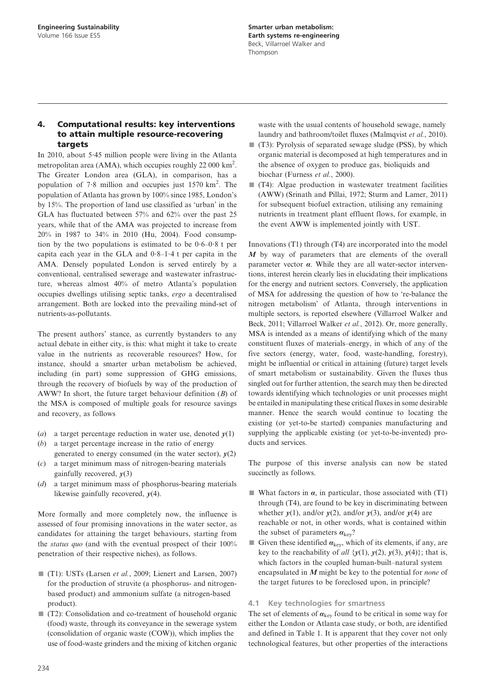# 4. Computational results: key interventions to attain multiple resource-recovering targets

In 2010, about 5.45 million people were living in the Atlanta metropolitan area (AMA), which occupies roughly 22 000 km<sup>2</sup>. The Greater London area (GLA), in comparison, has a population of  $7.8$  million and occupies just  $1570 \text{ km}^2$ . The population of Atlanta has grown by 100% since 1985, London's by 15%. The proportion of land use classified as 'urban' in the GLA has fluctuated between 57% and 62% over the past 25 years, while that of the AMA was projected to increase from 20% in 1987 to 34% in 2010 (Hu, 2004). Food consumption by the two populations is estimated to be  $0.6-0.8$  t per capita each year in the GLA and  $0.8-1.4$  t per capita in the AMA. Densely populated London is served entirely by a conventional, centralised sewerage and wastewater infrastructure, whereas almost 40% of metro Atlanta's population occupies dwellings utilising septic tanks, ergo a decentralised arrangement. Both are locked into the prevailing mind-set of nutrients-as-pollutants.

The present authors' stance, as currently bystanders to any actual debate in either city, is this: what might it take to create value in the nutrients as recoverable resources? How, for instance, should a smarter urban metabolism be achieved, including (in part) some suppression of GHG emissions, through the recovery of biofuels by way of the production of AWW? In short, the future target behaviour definition (B) of the MSA is composed of multiple goals for resource savings and recovery, as follows

- (a) a target percentage reduction in water use, denoted  $y(1)$
- (b) a target percentage increase in the ratio of energy
- generated to energy consumed (in the water sector),  $y(2)$ (c) a target minimum mass of nitrogen-bearing materials
- gainfully recovered,  $y(3)$ (d) a target minimum mass of phosphorus-bearing materials
- likewise gainfully recovered,  $y(4)$ .

More formally and more completely now, the influence is assessed of four promising innovations in the water sector, as candidates for attaining the target behaviours, starting from the *status quo* (and with the eventual prospect of their  $100\%$ penetration of their respective niches), as follows.

- & (T1): USTs (Larsen et al., 2009; Lienert and Larsen, 2007) for the production of struvite (a phosphorus- and nitrogenbased product) and ammonium sulfate (a nitrogen-based product).
- $\Box$  (T2): Consolidation and co-treatment of household organic (food) waste, through its conveyance in the sewerage system (consolidation of organic waste (COW)), which implies the use of food-waste grinders and the mixing of kitchen organic

waste with the usual contents of household sewage, namely laundry and bathroom/toilet fluxes (Malmqvist et al., 2010).

- $\Box$  (T3): Pyrolysis of separated sewage sludge (PSS), by which organic material is decomposed at high temperatures and in the absence of oxygen to produce gas, bioliquids and biochar (Furness et al., 2000).
- & (T4): Algae production in wastewater treatment facilities (AWW) (Srinath and Pillai, 1972; Sturm and Lamer, 2011) for subsequent biofuel extraction, utilising any remaining nutrients in treatment plant effluent flows, for example, in the event AWW is implemented jointly with UST.

Innovations (T1) through (T4) are incorporated into the model  $M$  by way of parameters that are elements of the overall parameter vector  $\alpha$ . While they are all water-sector interventions, interest herein clearly lies in elucidating their implications for the energy and nutrient sectors. Conversely, the application of MSA for addressing the question of how to 're-balance the nitrogen metabolism' of Atlanta, through interventions in multiple sectors, is reported elsewhere (Villarroel Walker and Beck, 2011; Villarroel Walker et al., 2012). Or, more generally, MSA is intended as a means of identifying which of the many constituent fluxes of materials–energy, in which of any of the five sectors (energy, water, food, waste-handling, forestry), might be influential or critical in attaining (future) target levels of smart metabolism or sustainability. Given the fluxes thus singled out for further attention, the search may then be directed towards identifying which technologies or unit processes might be entailed in manipulating these critical fluxes in some desirable manner. Hence the search would continue to locating the existing (or yet-to-be started) companies manufacturing and supplying the applicable existing (or yet-to-be-invented) products and services.

The purpose of this inverse analysis can now be stated succinctly as follows.

- What factors in  $\alpha$ , in particular, those associated with (T1) through (T4), are found to be key in discriminating between whether  $y(1)$ , and/or  $y(2)$ , and/or  $y(3)$ , and/or  $y(4)$  are reachable or not, in other words, what is contained within the subset of parameters  $\alpha_{\text{key}}$ ?
- Given these identified  $\alpha_{\text{key}}$ , which of its elements, if any, are key to the reachability of all  $\{y(1), y(2), y(3), y(4)\}$ ; that is, which factors in the coupled human-built–natural system encapsulated in  $M$  might be key to the potential for *none* of the target futures to be foreclosed upon, in principle?

#### 4.1 Key technologies for smartness

The set of elements of  $\alpha_{\text{kev}}$  found to be critical in some way for either the London or Atlanta case study, or both, are identified and defined in Table 1. It is apparent that they cover not only technological features, but other properties of the interactions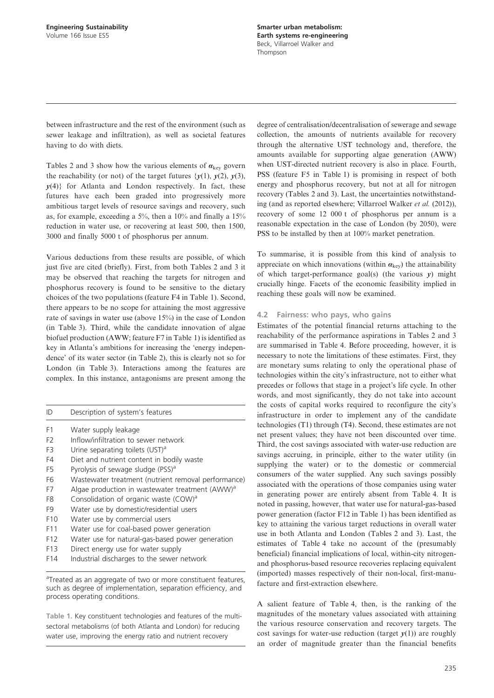between infrastructure and the rest of the environment (such as sewer leakage and infiltration), as well as societal features having to do with diets.

Tables 2 and 3 show how the various elements of  $\alpha_{\text{key}}$  govern the reachability (or not) of the target futures  $\{y(1), y(2), y(3),$  $y(4)$ } for Atlanta and London respectively. In fact, these futures have each been graded into progressively more ambitious target levels of resource savings and recovery, such as, for example, exceeding a 5%, then a 10% and finally a 15% reduction in water use, or recovering at least 500, then 1500, 3000 and finally 5000 t of phosphorus per annum.

Various deductions from these results are possible, of which just five are cited (briefly). First, from both Tables 2 and 3 it may be observed that reaching the targets for nitrogen and phosphorus recovery is found to be sensitive to the dietary choices of the two populations (feature F4 in Table 1). Second, there appears to be no scope for attaining the most aggressive rate of savings in water use (above 15%) in the case of London (in Table 3). Third, while the candidate innovation of algae biofuel production (AWW; feature F7 in Table 1) is identified as key in Atlanta's ambitions for increasing the 'energy independence' of its water sector (in Table 2), this is clearly not so for London (in Table 3). Interactions among the features are complex. In this instance, antagonisms are present among the

| ID              | Description of system's features                            |
|-----------------|-------------------------------------------------------------|
| F1              | Water supply leakage                                        |
| F <sub>2</sub>  | Inflow/infiltration to sewer network                        |
| F3              | Urine separating toilets (UST) <sup>a</sup>                 |
| F4              | Diet and nutrient content in bodily waste                   |
| F5              | Pyrolysis of sewage sludge (PSS) <sup>a</sup>               |
| F <sub>6</sub>  | Wastewater treatment (nutrient removal performance)         |
| F7              | Algae production in wastewater treatment (AWW) <sup>a</sup> |
| F8              | Consolidation of organic waste (COW) <sup>a</sup>           |
| F <sub>9</sub>  | Water use by domestic/residential users                     |
| F10             | Water use by commercial users                               |
| F <sub>11</sub> | Water use for coal-based power generation                   |
| F <sub>12</sub> | Water use for natural-gas-based power generation            |
| F <sub>13</sub> | Direct energy use for water supply                          |
| F14             | Industrial discharges to the sewer network                  |
|                 |                                                             |

<sup>a</sup>Treated as an aggregate of two or more constituent features, such as degree of implementation, separation efficiency, and process operating conditions.

Table 1. Key constituent technologies and features of the multisectoral metabolisms (of both Atlanta and London) for reducing water use, improving the energy ratio and nutrient recovery

degree of centralisation/decentralisation of sewerage and sewage collection, the amounts of nutrients available for recovery through the alternative UST technology and, therefore, the amounts available for supporting algae generation (AWW) when UST-directed nutrient recovery is also in place. Fourth, PSS (feature F5 in Table 1) is promising in respect of both energy and phosphorus recovery, but not at all for nitrogen recovery (Tables 2 and 3). Last, the uncertainties notwithstanding (and as reported elsewhere; Villarroel Walker et al. (2012)), recovery of some 12 000 t of phosphorus per annum is a reasonable expectation in the case of London (by 2050), were PSS to be installed by then at 100% market penetration.

To summarise, it is possible from this kind of analysis to appreciate on which innovations (within  $\alpha_{\text{key}}$ ) the attainability of which target-performance goal(s) (the various  $y$ ) might crucially hinge. Facets of the economic feasibility implied in reaching these goals will now be examined.

## 4.2 Fairness: who pays, who gains

Estimates of the potential financial returns attaching to the reachability of the performance aspirations in Tables 2 and 3 are summarised in Table 4. Before proceeding, however, it is necessary to note the limitations of these estimates. First, they are monetary sums relating to only the operational phase of technologies within the city's infrastructure, not to either what precedes or follows that stage in a project's life cycle. In other words, and most significantly, they do not take into account the costs of capital works required to reconfigure the city's infrastructure in order to implement any of the candidate technologies (T1) through (T4). Second, these estimates are not net present values; they have not been discounted over time. Third, the cost savings associated with water-use reduction are savings accruing, in principle, either to the water utility (in supplying the water) or to the domestic or commercial consumers of the water supplied. Any such savings possibly associated with the operations of those companies using water in generating power are entirely absent from Table 4. It is noted in passing, however, that water use for natural-gas-based power generation (factor F12 in Table 1) has been identified as key to attaining the various target reductions in overall water use in both Atlanta and London (Tables 2 and 3). Last, the estimates of Table 4 take no account of the (presumably beneficial) financial implications of local, within-city nitrogenand phosphorus-based resource recoveries replacing equivalent (imported) masses respectively of their non-local, first-manufacture and first-extraction elsewhere.

A salient feature of Table 4, then, is the ranking of the magnitudes of the monetary values associated with attaining the various resource conservation and recovery targets. The cost savings for water-use reduction (target  $y(1)$ ) are roughly an order of magnitude greater than the financial benefits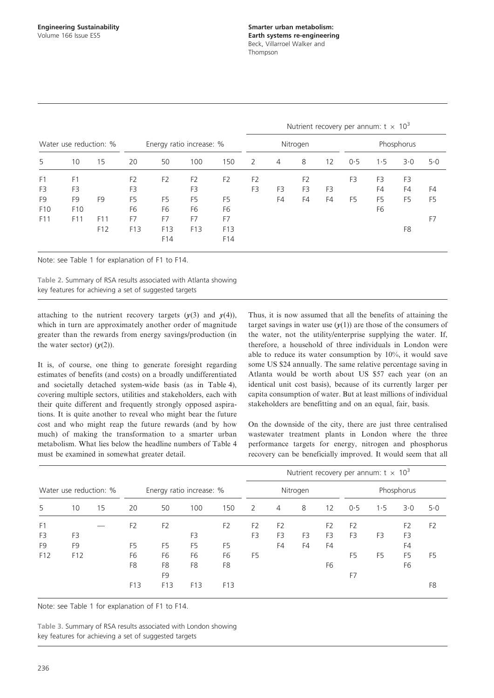| Water use reduction: % |                 |                 | Energy ratio increase: % |                 |                 | Nitrogen        |                | Phosphorus     |                |                |                |                |                |                |
|------------------------|-----------------|-----------------|--------------------------|-----------------|-----------------|-----------------|----------------|----------------|----------------|----------------|----------------|----------------|----------------|----------------|
| 5                      | 10              | 15              | 20                       | 50              | 100             | 150             | 2              | 4              | 8              | 12             | 0.5            | 1·5            | 3·0            | 5.0            |
| F <sub>1</sub>         | F <sub>1</sub>  |                 | F <sub>2</sub>           | F <sub>2</sub>  | F <sub>2</sub>  | F <sub>2</sub>  | F <sub>2</sub> |                | F <sub>2</sub> |                | F <sub>3</sub> | F <sub>3</sub> | F <sub>3</sub> |                |
| F <sub>3</sub>         | F <sub>3</sub>  |                 | F <sub>3</sub>           |                 | F <sub>3</sub>  |                 | F <sub>3</sub> | F <sub>3</sub> | F <sub>3</sub> | F <sub>3</sub> |                | F4             | F4             | F4             |
| F <sub>9</sub>         | F <sub>9</sub>  | F <sub>9</sub>  | F <sub>5</sub>           | F <sub>5</sub>  | F <sub>5</sub>  | F <sub>5</sub>  |                | F4             | F4             | F4             | F <sub>5</sub> | F <sub>5</sub> | F <sub>5</sub> | F <sub>5</sub> |
| F <sub>10</sub>        | F <sub>10</sub> |                 | F <sub>6</sub>           | F <sub>6</sub>  | F <sub>6</sub>  | F <sub>6</sub>  |                |                |                |                |                | F <sub>6</sub> |                |                |
| F <sub>11</sub>        | F11             | F11             | F7                       | F7              | F7              | F7              |                |                |                |                |                |                |                | F7             |
|                        |                 | F <sub>12</sub> | F <sub>13</sub>          | F <sub>13</sub> | F <sub>13</sub> | F <sub>13</sub> |                |                |                |                |                |                | F <sub>8</sub> |                |
|                        |                 |                 |                          | F14             |                 | F14             |                |                |                |                |                |                |                |                |

Nutrient recovery per annum:  $t \times 10^3$ 

Note: see Table 1 for explanation of F1 to F14.

Table 2. Summary of RSA results associated with Atlanta showing key features for achieving a set of suggested targets

attaching to the nutrient recovery targets  $(y(3)$  and  $y(4)$ ), which in turn are approximately another order of magnitude greater than the rewards from energy savings/production (in the water sector)  $(y(2))$ .

It is, of course, one thing to generate foresight regarding estimates of benefits (and costs) on a broadly undifferentiated and societally detached system-wide basis (as in Table 4), covering multiple sectors, utilities and stakeholders, each with their quite different and frequently strongly opposed aspirations. It is quite another to reveal who might bear the future cost and who might reap the future rewards (and by how much) of making the transformation to a smarter urban metabolism. What lies below the headline numbers of Table 4 must be examined in somewhat greater detail.

Thus, it is now assumed that all the benefits of attaining the target savings in water use  $(y(1))$  are those of the consumers of the water, not the utility/enterprise supplying the water. If, therefore, a household of three individuals in London were able to reduce its water consumption by 10%, it would save some US \$24 annually. The same relative percentage saving in Atlanta would be worth about US \$57 each year (on an identical unit cost basis), because of its currently larger per capita consumption of water. But at least millions of individual stakeholders are benefitting and on an equal, fair, basis.

On the downside of the city, there are just three centralised wastewater treatment plants in London where the three performance targets for energy, nitrogen and phosphorus recovery can be beneficially improved. It would seem that all

|                        |                 |    |                          |                 |                 |                 | Nutrient recovery per annum: $t \times 10^3$ |                |                |                |                |                |                |                |
|------------------------|-----------------|----|--------------------------|-----------------|-----------------|-----------------|----------------------------------------------|----------------|----------------|----------------|----------------|----------------|----------------|----------------|
| Water use reduction: % |                 |    | Energy ratio increase: % | Nitrogen        |                 |                 |                                              | Phosphorus     |                |                |                |                |                |                |
| 5                      | 10              | 15 | 20                       | 50              | 100             | 150             | 2                                            | $\overline{4}$ | 8              | 12             | 0.5            | 1·5            | 3.0            | 5.0            |
| F <sub>1</sub>         |                 |    | F <sub>2</sub>           | F <sub>2</sub>  |                 | F <sub>2</sub>  | F <sub>2</sub>                               | F <sub>2</sub> |                | F <sub>2</sub> | F <sub>2</sub> |                | F <sub>2</sub> | F <sub>2</sub> |
| F <sub>3</sub>         | F <sub>3</sub>  |    |                          |                 | F <sub>3</sub>  |                 | F <sub>3</sub>                               | F <sub>3</sub> | F <sub>3</sub> | F <sub>3</sub> | F <sub>3</sub> | F <sub>3</sub> | F <sub>3</sub> |                |
| F <sub>9</sub>         | F <sub>9</sub>  |    | F <sub>5</sub>           | F <sub>5</sub>  | F <sub>5</sub>  | F <sub>5</sub>  |                                              | F4             | F4             | F4             |                |                | F4             |                |
| F <sub>12</sub>        | F <sub>12</sub> |    | F <sub>6</sub>           | F <sub>6</sub>  | F <sub>6</sub>  | F <sub>6</sub>  | F <sub>5</sub>                               |                |                |                | F <sub>5</sub> | F <sub>5</sub> | F <sub>5</sub> | F <sub>5</sub> |
|                        |                 |    | F <sub>8</sub>           | F <sub>8</sub>  | F <sub>8</sub>  | F <sub>8</sub>  |                                              |                |                | F <sub>6</sub> |                |                | F <sub>6</sub> |                |
|                        |                 |    |                          | F <sub>9</sub>  |                 |                 |                                              |                |                |                | F7             |                |                |                |
|                        |                 |    | F <sub>13</sub>          | F <sub>13</sub> | F <sub>13</sub> | F <sub>13</sub> |                                              |                |                |                |                |                |                | F <sub>8</sub> |

Note: see Table 1 for explanation of F1 to F14.

Table 3. Summary of RSA results associated with London showing key features for achieving a set of suggested targets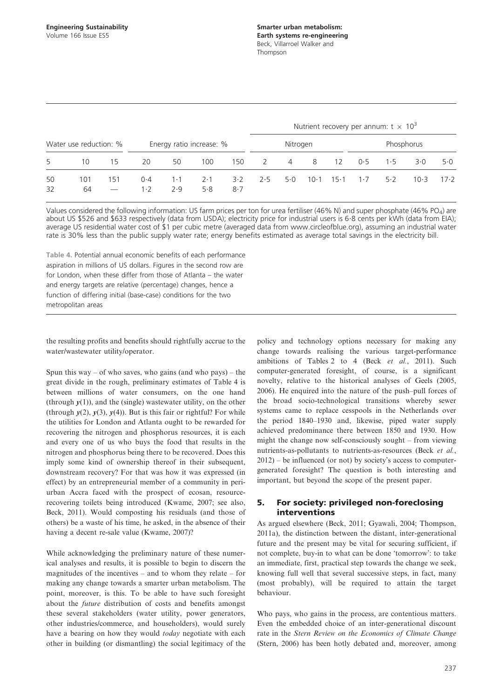|                                                    |                 |     |            |                    |                    |            | Nutrient recovery per annum: $t \times 10^3$ |     |                |                           |             |     |      |      |
|----------------------------------------------------|-----------------|-----|------------|--------------------|--------------------|------------|----------------------------------------------|-----|----------------|---------------------------|-------------|-----|------|------|
| Energy ratio increase: %<br>Water use reduction: % |                 |     |            |                    |                    | Nitrogen   |                                              |     |                | Phosphorus                |             |     |      |      |
| 5                                                  | 10 <sup>2</sup> | 15  | 20         | 50                 | 100                | 150        | 2                                            | 4   | 8 <sup>8</sup> | 12                        | 0.5         | 1.5 | 3.0  | 5.0  |
| 50<br>32                                           | 101<br>64       | 151 | 0.4<br>1·7 | $1 \cdot 1$<br>7.9 | $2 \cdot 1$<br>5.8 | 3.2<br>8.7 | 2.5                                          | 5.0 |                | $10 \cdot 1$ $15 \cdot 1$ | $1 \cdot 7$ | 5.2 | 10.3 | 17.2 |

Values considered the following information: US farm prices per ton for urea fertiliser (46% N) and super phosphate (46% PO<sub>4</sub>) are about US \$526 and \$633 respectively (data from USDA); electricity price for industrial users is 6?8 cents per kWh (data from EIA); average US residential water cost of \$1 per cubic metre (averaged data from www.circleofblue.org), assuming an industrial water rate is 30% less than the public supply water rate; energy benefits estimated as average total savings in the electricity bill.

Table 4. Potential annual economic benefits of each performance aspiration in millions of US dollars. Figures in the second row are for London, when these differ from those of Atlanta – the water and energy targets are relative (percentage) changes, hence a function of differing initial (base-case) conditions for the two metropolitan areas

the resulting profits and benefits should rightfully accrue to the water/wastewater utility/operator.

Spun this way – of who saves, who gains (and who pays) – the great divide in the rough, preliminary estimates of Table 4 is between millions of water consumers, on the one hand (through  $y(1)$ ), and the (single) wastewater utility, on the other (through  $y(2)$ ,  $y(3)$ ,  $y(4)$ ). But is this fair or rightful? For while the utilities for London and Atlanta ought to be rewarded for recovering the nitrogen and phosphorus resources, it is each and every one of us who buys the food that results in the nitrogen and phosphorus being there to be recovered. Does this imply some kind of ownership thereof in their subsequent, downstream recovery? For that was how it was expressed (in effect) by an entrepreneurial member of a community in periurban Accra faced with the prospect of ecosan, resourcerecovering toilets being introduced (Kwame, 2007; see also, Beck, 2011). Would composting his residuals (and those of others) be a waste of his time, he asked, in the absence of their having a decent re-sale value (Kwame, 2007)?

While acknowledging the preliminary nature of these numerical analyses and results, it is possible to begin to discern the magnitudes of the incentives – and to whom they relate – for making any change towards a smarter urban metabolism. The point, moreover, is this. To be able to have such foresight about the future distribution of costs and benefits amongst these several stakeholders (water utility, power generators, other industries/commerce, and householders), would surely have a bearing on how they would today negotiate with each other in building (or dismantling) the social legitimacy of the policy and technology options necessary for making any change towards realising the various target-performance ambitions of Tables 2 to 4 (Beck et al., 2011). Such computer-generated foresight, of course, is a significant novelty, relative to the historical analyses of Geels (2005, 2006). He enquired into the nature of the push–pull forces of the broad socio-technological transitions whereby sewer systems came to replace cesspools in the Netherlands over the period 1840–1930 and, likewise, piped water supply achieved predominance there between 1850 and 1930. How might the change now self-consciously sought – from viewing nutrients-as-pollutants to nutrients-as-resources (Beck et al.,  $2012$ ) – be influenced (or not) by society's access to computergenerated foresight? The question is both interesting and important, but beyond the scope of the present paper.

# 5. For society: privileged non-foreclosing interventions

As argued elsewhere (Beck, 2011; Gyawali, 2004; Thompson, 2011a), the distinction between the distant, inter-generational future and the present may be vital for securing sufficient, if not complete, buy-in to what can be done 'tomorrow': to take an immediate, first, practical step towards the change we seek, knowing full well that several successive steps, in fact, many (most probably), will be required to attain the target behaviour.

Who pays, who gains in the process, are contentious matters. Even the embedded choice of an inter-generational discount rate in the Stern Review on the Economics of Climate Change (Stern, 2006) has been hotly debated and, moreover, among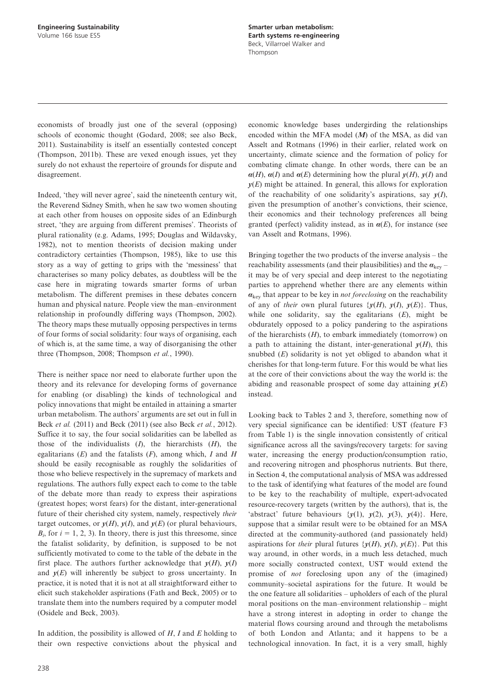economists of broadly just one of the several (opposing) schools of economic thought (Godard, 2008; see also Beck, 2011). Sustainability is itself an essentially contested concept (Thompson, 2011b). These are vexed enough issues, yet they surely do not exhaust the repertoire of grounds for dispute and disagreement.

Indeed, 'they will never agree', said the nineteenth century wit, the Reverend Sidney Smith, when he saw two women shouting at each other from houses on opposite sides of an Edinburgh street, 'they are arguing from different premises'. Theorists of plural rationality (e.g. Adams, 1995; Douglas and Wildavsky, 1982), not to mention theorists of decision making under contradictory certainties (Thompson, 1985), like to use this story as a way of getting to grips with the 'messiness' that characterises so many policy debates, as doubtless will be the case here in migrating towards smarter forms of urban metabolism. The different premises in these debates concern human and physical nature. People view the man–environment relationship in profoundly differing ways (Thompson, 2002). The theory maps these mutually opposing perspectives in terms of four forms of social solidarity: four ways of organising, each of which is, at the same time, a way of disorganising the other three (Thompson, 2008; Thompson et al., 1990).

There is neither space nor need to elaborate further upon the theory and its relevance for developing forms of governance for enabling (or disabling) the kinds of technological and policy innovations that might be entailed in attaining a smarter urban metabolism. The authors' arguments are set out in full in Beck et al. (2011) and Beck (2011) (see also Beck et al., 2012). Suffice it to say, the four social solidarities can be labelled as those of the individualists  $(I)$ , the hierarchists  $(H)$ , the egalitarians  $(E)$  and the fatalists  $(F)$ , among which, I and H should be easily recognisable as roughly the solidarities of those who believe respectively in the supremacy of markets and regulations. The authors fully expect each to come to the table of the debate more than ready to express their aspirations (greatest hopes; worst fears) for the distant, inter-generational future of their cherished city system, namely, respectively their target outcomes, or  $v(H)$ ,  $v(I)$ , and  $v(E)$  (or plural behaviours,  $B_i$ , for  $i = 1, 2, 3$ ). In theory, there is just this threesome, since the fatalist solidarity, by definition, is supposed to be not sufficiently motivated to come to the table of the debate in the first place. The authors further acknowledge that  $v(H)$ ,  $v(I)$ and  $y(E)$  will inherently be subject to gross uncertainty. In practice, it is noted that it is not at all straightforward either to elicit such stakeholder aspirations (Fath and Beck, 2005) or to translate them into the numbers required by a computer model (Osidele and Beck, 2003).

In addition, the possibility is allowed of  $H$ ,  $I$  and  $E$  holding to their own respective convictions about the physical and economic knowledge bases undergirding the relationships encoded within the MFA model  $(M)$  of the MSA, as did van Asselt and Rotmans (1996) in their earlier, related work on uncertainty, climate science and the formation of policy for combating climate change. In other words, there can be an  $\alpha(H)$ ,  $\alpha(I)$  and  $\alpha(E)$  determining how the plural  $y(H)$ ,  $y(I)$  and  $y(E)$  might be attained. In general, this allows for exploration of the reachability of one solidarity's aspirations, say  $y(I)$ , given the presumption of another's convictions, their science, their economics and their technology preferences all being granted (perfect) validity instead, as in  $\alpha(E)$ , for instance (see van Asselt and Rotmans, 1996).

Bringing together the two products of the inverse analysis – the reachability assessments (and their plausibilities) and the  $\alpha_{\text{kev}}$  – it may be of very special and deep interest to the negotiating parties to apprehend whether there are any elements within  $\alpha_{\text{key}}$  that appear to be key in *not foreclosing* on the reachability of any of their own plural futures  $\{v(H), v(I), v(E)\}\$ . Thus, while one solidarity, say the egalitarians  $(E)$ , might be obdurately opposed to a policy pandering to the aspirations of the hierarchists  $(H)$ , to embark immediately (tomorrow) on a path to attaining the distant, inter-generational  $v(H)$ , this snubbed  $(E)$  solidarity is not yet obliged to abandon what it cherishes for that long-term future. For this would be what lies at the core of their convictions about the way the world is: the abiding and reasonable prospect of some day attaining  $y(E)$ instead.

Looking back to Tables 2 and 3, therefore, something now of very special significance can be identified: UST (feature F3 from Table 1) is the single innovation consistently of critical significance across all the savings/recovery targets: for saving water, increasing the energy production/consumption ratio, and recovering nitrogen and phosphorus nutrients. But there, in Section 4, the computational analysis of MSA was addressed to the task of identifying what features of the model are found to be key to the reachability of multiple, expert-advocated resource-recovery targets (written by the authors), that is, the 'abstract' future behaviours  $\{v(1), v(2), v(3), v(4)\}$ . Here, suppose that a similar result were to be obtained for an MSA directed at the community-authored (and passionately held) aspirations for their plural futures  $\{y(H), y(I), y(E)\}\$ . Put this way around, in other words, in a much less detached, much more socially constructed context, UST would extend the promise of not foreclosing upon any of the (imagined) community–societal aspirations for the future. It would be the one feature all solidarities – upholders of each of the plural moral positions on the man–environment relationship – might have a strong interest in adopting in order to change the material flows coursing around and through the metabolisms of both London and Atlanta; and it happens to be a technological innovation. In fact, it is a very small, highly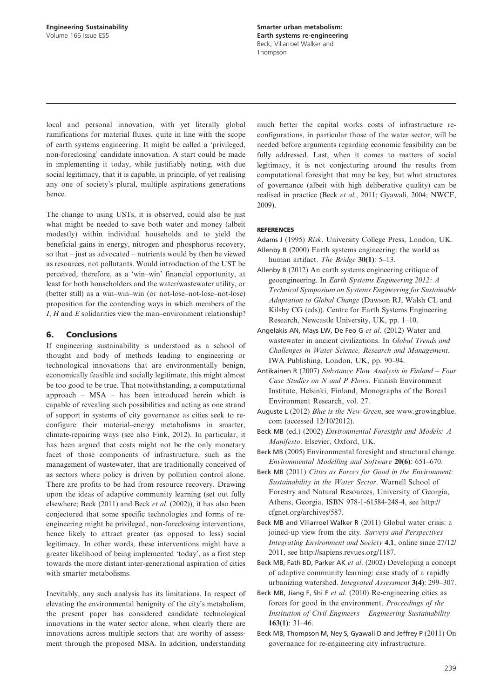local and personal innovation, with yet literally global ramifications for material fluxes, quite in line with the scope of earth systems engineering. It might be called a 'privileged, non-foreclosing' candidate innovation. A start could be made in implementing it today, while justifiably noting, with due social legitimacy, that it is capable, in principle, of yet realising any one of society's plural, multiple aspirations generations hence.

The change to using USTs, it is observed, could also be just what might be needed to save both water and money (albeit modestly) within individual households and to yield the beneficial gains in energy, nitrogen and phosphorus recovery, so that – just as advocated – nutrients would by then be viewed as resources, not pollutants. Would introduction of the UST be perceived, therefore, as a 'win–win' financial opportunity, at least for both householders and the water/wastewater utility, or (better still) as a win–win–win (or not-lose–not-lose–not-lose) proposition for the contending ways in which members of the I, H and E solidarities view the man–environment relationship?

## 6. Conclusions

If engineering sustainability is understood as a school of thought and body of methods leading to engineering or technological innovations that are environmentally benign, economically feasible and socially legitimate, this might almost be too good to be true. That notwithstanding, a computational approach – MSA – has been introduced herein which is capable of revealing such possibilities and acting as one strand of support in systems of city governance as cities seek to reconfigure their material–energy metabolisms in smarter, climate-repairing ways (see also Fink, 2012). In particular, it has been argued that costs might not be the only monetary facet of those components of infrastructure, such as the management of wastewater, that are traditionally conceived of as sectors where policy is driven by pollution control alone. There are profits to be had from resource recovery. Drawing upon the ideas of adaptive community learning (set out fully elsewhere; Beck (2011) and Beck et al. (2002)), it has also been conjectured that some specific technologies and forms of reengineering might be privileged, non-foreclosing interventions, hence likely to attract greater (as opposed to less) social legitimacy. In other words, these interventions might have a greater likelihood of being implemented 'today', as a first step towards the more distant inter-generational aspiration of cities with smarter metabolisms.

Inevitably, any such analysis has its limitations. In respect of elevating the environmental benignity of the city's metabolism, the present paper has considered candidate technological innovations in the water sector alone, when clearly there are innovations across multiple sectors that are worthy of assessment through the proposed MSA. In addition, understanding

much better the capital works costs of infrastructure reconfigurations, in particular those of the water sector, will be needed before arguments regarding economic feasibility can be fully addressed. Last, when it comes to matters of social legitimacy, it is not conjecturing around the results from computational foresight that may be key, but what structures of governance (albeit with high deliberative quality) can be realised in practice (Beck et al., 2011; Gyawali, 2004; NWCF, 2009).

#### REFERENCES

- Adams J (1995) Risk. University College Press, London, UK. Allenby B (2000) Earth systems engineering: the world as
- human artifact. *The Bridge* **30(1)**: 5–13.
- Allenby B (2012) An earth systems engineering critique of geoengineering. In Earth Systems Engineering 2012: A Technical Symposium on Systems Engineering for Sustainable Adaptation to Global Change (Dawson RJ, Walsh CL and Kilsby CG (eds)). Centre for Earth Systems Engineering Research, Newcastle University, UK, pp. 1–10.
- Angelakis AN, Mays LW, De Feo G et al. (2012) Water and wastewater in ancient civilizations. In Global Trends and Challenges in Water Science, Research and Management. IWA Publishing, London, UK, pp. 90–94.
- Antikainen R (2007) Substance Flow Analysis in Finland Four Case Studies on N and P Flows. Finnish Environment Institute, Helsinki, Finland, Monographs of the Boreal Environment Research, vol. 27.
- Auguste L (2012) Blue is the New Green, see www.growingblue. com (accessed 12/10/2012).
- Beck MB (ed.) (2002) Environmental Foresight and Models: A Manifesto. Elsevier, Oxford, UK.
- Beck MB (2005) Environmental foresight and structural change. Environmental Modelling and Software 20(6): 651–670.
- Beck MB (2011) Cities as Forces for Good in the Environment: Sustainability in the Water Sector. Warnell School of Forestry and Natural Resources, University of Georgia, Athens, Georgia, ISBN 978-1-61584-248-4, see http:// cfgnet.org/archives/587.
- Beck MB and Villarroel Walker R (2011) Global water crisis: a joined-up view from the city. Surveys and Perspectives Integrating Environment and Society 4.1, online since 27/12/ 2011, see http://sapiens.revues.org/1187.
- Beck MB, Fath BD, Parker AK et al. (2002) Developing a concept of adaptive community learning: case study of a rapidly urbanizing watershed. Integrated Assessment 3(4): 299–307.
- Beck MB, Jiang F, Shi F et al.  $(2010)$  Re-engineering cities as forces for good in the environment. Proceedings of the Institution of Civil Engineers – Engineering Sustainability 163(1): 31–46.
- Beck MB, Thompson M, Ney S, Gyawali D and Jeffrey P (2011) On governance for re-engineering city infrastructure.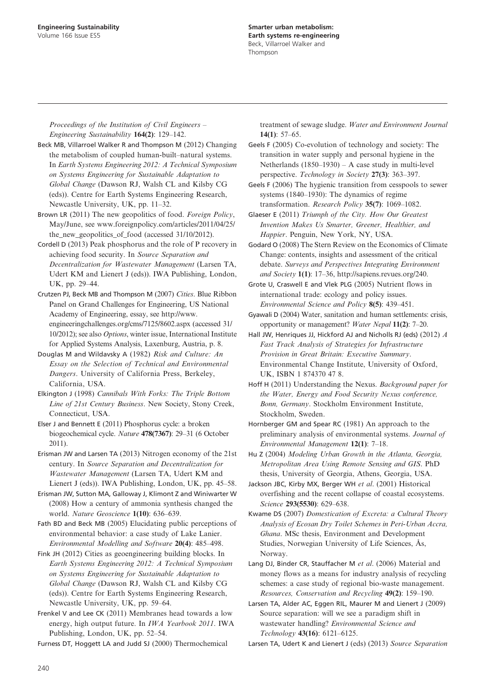Proceedings of the Institution of Civil Engineers – Engineering Sustainability 164(2): 129–142.

- Beck MB, Villarroel Walker R and Thompson M (2012) Changing the metabolism of coupled human-built–natural systems. In Earth Systems Engineering 2012: A Technical Symposium on Systems Engineering for Sustainable Adaptation to Global Change (Dawson RJ, Walsh CL and Kilsby CG (eds)). Centre for Earth Systems Engineering Research, Newcastle University, UK, pp. 11–32.
- Brown LR (2011) The new geopolitics of food. Foreign Policy, May/June, see www.foreignpolicy.com/articles/2011/04/25/ the\_new\_geopolitics\_of\_food (accessed 31/10/2012).
- Cordell D (2013) Peak phosphorus and the role of P recovery in achieving food security. In Source Separation and Decentralization for Wastewater Management (Larsen TA, Udert KM and Lienert J (eds)). IWA Publishing, London, UK, pp. 29–44.
- Crutzen PJ, Beck MB and Thompson M (2007) Cities. Blue Ribbon Panel on Grand Challenges for Engineering, US National Academy of Engineering, essay, see http://www. engineeringchallenges.org/cms/7125/8602.aspx (accessed 31/ 10/2012); see also Options, winter issue, International Institute for Applied Systems Analysis, Laxenburg, Austria, p. 8.
- Douglas M and Wildavsky A (1982) Risk and Culture: An Essay on the Selection of Technical and Environmental Dangers. University of California Press, Berkeley, California, USA.
- Elkington J (1998) Cannibals With Forks: The Triple Bottom Line of 21st Century Business. New Society, Stony Creek, Connecticut, USA.
- Elser J and Bennett E (2011) Phosphorus cycle: a broken biogeochemical cycle. Nature 478(7367): 29–31 (6 October 2011).
- Erisman JW and Larsen TA (2013) Nitrogen economy of the 21st century. In Source Separation and Decentralization for Wastewater Management (Larsen TA, Udert KM and Lienert J (eds)). IWA Publishing, London, UK, pp. 45–58.
- Erisman JW, Sutton MA, Galloway J, Klimont Z and Winiwarter W (2008) How a century of ammonia synthesis changed the world. Nature Geoscience 1(10): 636–639.
- Fath BD and Beck MB (2005) Elucidating public perceptions of environmental behavior: a case study of Lake Lanier. Environmental Modelling and Software 20(4): 485–498.
- Fink JH (2012) Cities as geoengineering building blocks. In Earth Systems Engineering 2012: A Technical Symposium on Systems Engineering for Sustainable Adaptation to Global Change (Dawson RJ, Walsh CL and Kilsby CG (eds)). Centre for Earth Systems Engineering Research, Newcastle University, UK, pp. 59–64.
- Frenkel V and Lee CK (2011) Membranes head towards a low energy, high output future. In IWA Yearbook 2011. IWA Publishing, London, UK, pp. 52–54.

Furness DT, Hoggett LA and Judd SJ (2000) Thermochemical

treatment of sewage sludge. Water and Environment Journal 14(1): 57–65.

- Geels F (2005) Co-evolution of technology and society: The transition in water supply and personal hygiene in the Netherlands (1850–1930) – A case study in multi-level perspective. Technology in Society 27(3): 363–397.
- Geels F (2006) The hygienic transition from cesspools to sewer systems (1840–1930): The dynamics of regime transformation. Research Policy 35(7): 1069–1082.
- Glaeser E (2011) Triumph of the City. How Our Greatest Invention Makes Us Smarter, Greener, Healthier, and Happier. Penguin, New York, NY, USA.
- Godard O (2008) The Stern Review on the Economics of Climate Change: contents, insights and assessment of the critical debate. Surveys and Perspectives Integrating Environment and Society 1(1): 17–36, http://sapiens.revues.org/240.
- Grote U, Craswell E and Vlek PLG (2005) Nutrient flows in international trade: ecology and policy issues. Environmental Science and Policy 8(5): 439–451.
- Gyawali D (2004) Water, sanitation and human settlements: crisis, opportunity or management? Water Nepal 11(2): 7–20.
- Hall JW, Henriques JJ, Hickford AJ and Nicholls RJ (eds) (2012) A Fast Track Analysis of Strategies for Infrastructure Provision in Great Britain: Executive Summary. Environmental Change Institute, University of Oxford, UK, ISBN 1 874370 47 8.
- Hoff H (2011) Understanding the Nexus. Background paper for the Water, Energy and Food Security Nexus conference, Bonn, Germany. Stockholm Environment Institute, Stockholm, Sweden.
- Hornberger GM and Spear RC (1981) An approach to the preliminary analysis of environmental systems. Journal of Environmental Management 12(1): 7–18.
- Hu Z (2004) Modeling Urban Growth in the Atlanta, Georgia, Metropolitan Area Using Remote Sensing and GIS. PhD thesis, University of Georgia, Athens, Georgia, USA.
- Jackson JBC, Kirby MX, Berger WH et al. (2001) Historical overfishing and the recent collapse of coastal ecosystems. Science 293(5530): 629–638.
- Kwame DS (2007) Domestication of Excreta: a Cultural Theory Analysis of Ecosan Dry Toilet Schemes in Peri-Urban Accra, Ghana. MSc thesis, Environment and Development Studies, Norwegian University of Life Sciences, Ås, Norway.
- Lang DJ, Binder CR, Stauffacher M et al. (2006) Material and money flows as a means for industry analysis of recycling schemes: a case study of regional bio-waste management. Resources, Conservation and Recycling 49(2): 159–190.
- Larsen TA, Alder AC, Eggen RIL, Maurer M and Lienert J (2009) Source separation: will we see a paradigm shift in wastewater handling? Environmental Science and Technology 43(16): 6121–6125.

Larsen TA, Udert K and Lienert J (eds) (2013) Source Separation